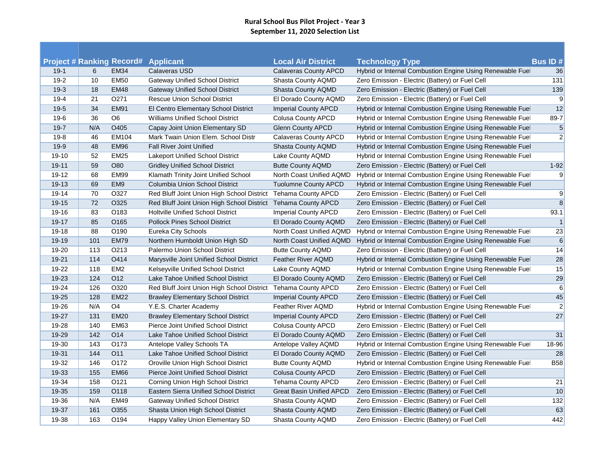## **Rural School Bus Pilot Project - Year 3 September 11, 2020 Selection List**

**Contract** 

|           |     |                                                 | <b>Applicant</b>                                              | <b>Local Air District</b>       |                                                                                     | <b>Bus ID#</b> |
|-----------|-----|-------------------------------------------------|---------------------------------------------------------------|---------------------------------|-------------------------------------------------------------------------------------|----------------|
| $19-1$    | 6   | <b>Project # Ranking Record#</b><br><b>EM34</b> | Calaveras USD                                                 | Calaveras County APCD           | <b>Technology Type</b><br>Hybrid or Internal Combustion Engine Using Renewable Fuel | 36             |
| $19-2$    | 10  | <b>EM50</b>                                     | <b>Gateway Unified School District</b>                        | Shasta County AQMD              | Zero Emission - Electric (Battery) or Fuel Cell                                     | $131$          |
| $19-3$    | 18  | <b>EM48</b>                                     | <b>Gateway Unified School District</b>                        | Shasta County AQMD              | Zero Emission - Electric (Battery) or Fuel Cell                                     | 139            |
| $19 - 4$  | 21  | O271                                            | <b>Rescue Union School District</b>                           | El Dorado County AQMD           | Zero Emission - Electric (Battery) or Fuel Cell                                     | 9              |
| $19-5$    | 34  | <b>EM91</b>                                     | El Centro Elementary School District                          | <b>Imperial County APCD</b>     | Hybrid or Internal Combustion Engine Using Renewable Fuel                           | 12             |
| $19-6$    | 36  | $\overline{OB}$                                 | <b>Williams Unified School District</b>                       | <b>Colusa County APCD</b>       | Hybrid or Internal Combustion Engine Using Renewable Fuel                           | $89 - 7$       |
| $19 - 7$  | N/A | O405                                            | Capay Joint Union Elementary SD                               | <b>Glenn County APCD</b>        | Hybrid or Internal Combustion Engine Using Renewable Fuel                           | $\sqrt{5}$     |
| $19 - 8$  | 46  | EM104                                           | Mark Twain Union Elem. School Distr                           | Calaveras County APCD           | Hybrid or Internal Combustion Engine Using Renewable Fuel                           | $\overline{2}$ |
| $19-9$    | 48  | <b>EM96</b>                                     | <b>Fall River Joint Unified</b>                               | Shasta County AQMD              | Hybrid or Internal Combustion Engine Using Renewable Fuel                           |                |
| 19-10     | 52  | EM25                                            | <b>Lakeport Unified School District</b>                       | Lake County AQMD                | Hybrid or Internal Combustion Engine Using Renewable Fuel                           |                |
| 19-11     | 59  | O80                                             | <b>Gridley Unified School District</b>                        | <b>Butte County AQMD</b>        | Zero Emission - Electric (Battery) or Fuel Cell                                     | $1 - 92$       |
| 19-12     | 68  | EM <sub>99</sub>                                | Klamath Trinity Joint Unified School                          | North Coast Unified AQMD        | Hybrid or Internal Combustion Engine Using Renewable Fue                            | 9              |
| 19-13     | 69  | EM <sub>9</sub>                                 | Columbia Union School District                                | <b>Tuolumne County APCD</b>     | Hybrid or Internal Combustion Engine Using Renewable Fuel                           |                |
| 19-14     | 70  | O327                                            | Red Bluff Joint Union High School District Tehama County APCD |                                 | Zero Emission - Electric (Battery) or Fuel Cell                                     | 9              |
| 19-15     | 72  | O325                                            | Red Bluff Joint Union High School District Tehama County APCD |                                 | Zero Emission - Electric (Battery) or Fuel Cell                                     | $\bf 8$        |
| 19-16     | 83  | O <sub>183</sub>                                | <b>Holtville Unified School District</b>                      | <b>Imperial County APCD</b>     | Zero Emission - Electric (Battery) or Fuel Cell                                     | 93.1           |
| 19-17     | 85  | O <sub>165</sub>                                | <b>Pollock Pines School District</b>                          | El Dorado County AQMD           | Zero Emission - Electric (Battery) or Fuel Cell                                     | $\vert$ 1      |
| 19-18     | 88  | O190                                            | Eureka City Schools                                           | North Coast Unified AQMD        | Hybrid or Internal Combustion Engine Using Renewable Fuel                           | 23             |
| 19-19     | 101 | <b>EM79</b>                                     | Northern Humboldt Union High SD                               | North Coast Unified AQMD        | Hybrid or Internal Combustion Engine Using Renewable Fuel                           | $\,6\,$        |
| 19-20     | 113 | O <sub>2</sub> 13                               | Palermo Union School District                                 | <b>Butte County AQMD</b>        | Zero Emission - Electric (Battery) or Fuel Cell                                     | 14             |
| $19 - 21$ | 114 | O414                                            | Marysville Joint Unified School District                      | Feather River AQMD              | Hybrid or Internal Combustion Engine Using Renewable Fuel                           | 28             |
| 19-22     | 118 | EM <sub>2</sub>                                 | Kelseyville Unified School District                           | Lake County AQMD                | Hybrid or Internal Combustion Engine Using Renewable Fuel                           | 15             |
| 19-23     | 124 | O <sub>12</sub>                                 | Lake Tahoe Unified School District                            | El Dorado County AQMD           | Zero Emission - Electric (Battery) or Fuel Cell                                     | 29             |
| 19-24     | 126 | O320                                            | Red Bluff Joint Union High School District                    | <b>Tehama County APCD</b>       | Zero Emission - Electric (Battery) or Fuel Cell                                     | 6              |
| 19-25     | 128 | <b>EM22</b>                                     | <b>Brawley Elementary School District</b>                     | <b>Imperial County APCD</b>     | Zero Emission - Electric (Battery) or Fuel Cell                                     | 45             |
| 19-26     | N/A | O4                                              | Y.E.S. Charter Academy                                        | Feather River AQMD              | Hybrid or Internal Combustion Engine Using Renewable Fuel                           | $\mathbf{2}$   |
| 19-27     | 131 | <b>EM20</b>                                     | <b>Brawley Elementary School District</b>                     | <b>Imperial County APCD</b>     | Zero Emission - Electric (Battery) or Fuel Cell                                     | 27             |
| 19-28     | 140 | <b>EM63</b>                                     | Pierce Joint Unified School District                          | <b>Colusa County APCD</b>       | Zero Emission - Electric (Battery) or Fuel Cell                                     |                |
| 19-29     | 142 | O <sub>14</sub>                                 | Lake Tahoe Unified School District                            | El Dorado County AQMD           | Zero Emission - Electric (Battery) or Fuel Cell                                     | 31             |
| 19-30     | 143 | O173                                            | Antelope Valley Schools TA                                    | Antelope Valley AQMD            | Hybrid or Internal Combustion Engine Using Renewable Fuel                           | 18-96          |
| 19-31     | 144 | O <sub>11</sub>                                 | Lake Tahoe Unified School District                            | El Dorado County AQMD           | Zero Emission - Electric (Battery) or Fuel Cell                                     | 28             |
| 19-32     | 146 | O172                                            | Oroville Union High School District                           | <b>Butte County AQMD</b>        | Hybrid or Internal Combustion Engine Using Renewable Fue                            | <b>B58</b>     |
| 19-33     | 155 | <b>EM66</b>                                     | <b>Pierce Joint Unified School District</b>                   | <b>Colusa County APCD</b>       | Zero Emission - Electric (Battery) or Fuel Cell                                     |                |
| 19-34     | 158 | O121                                            | Corning Union High School District                            | <b>Tehama County APCD</b>       | Zero Emission - Electric (Battery) or Fuel Cell                                     | 21             |
| 19-35     | 159 | O118                                            | Eastern Sierra Unified School District                        | <b>Great Basin Unified APCD</b> | Zero Emission - Electric (Battery) or Fuel Cell                                     | 10             |
| 19-36     | N/A | <b>EM49</b>                                     | <b>Gateway Unified School District</b>                        | Shasta County AQMD              | Zero Emission - Electric (Battery) or Fuel Cell                                     | 132            |
| 19-37     | 161 | O355                                            | Shasta Union High School District                             | Shasta County AQMD              | Zero Emission - Electric (Battery) or Fuel Cell                                     | 63             |
| 19-38     | 163 | O194                                            | Happy Valley Union Elementary SD                              | Shasta County AQMD              | Zero Emission - Electric (Battery) or Fuel Cell                                     | 442            |